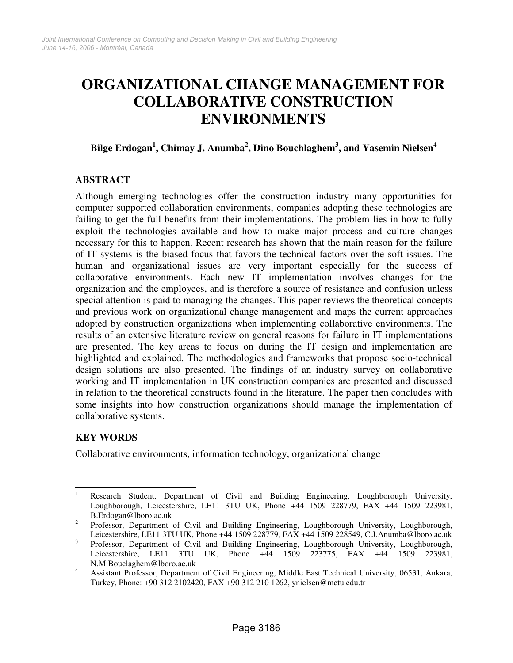# **ORGANIZATIONAL CHANGE MANAGEMENT FOR COLLABORATIVE CONSTRUCTION ENVIRONMENTS**

# **Bilge Erdogan<sup>1</sup> , Chimay J. Anumba<sup>2</sup> , Dino Bouchlaghem<sup>3</sup> , and Yasemin Nielsen<sup>4</sup>**

## **ABSTRACT**

Although emerging technologies offer the construction industry many opportunities for computer supported collaboration environments, companies adopting these technologies are failing to get the full benefits from their implementations. The problem lies in how to fully exploit the technologies available and how to make major process and culture changes necessary for this to happen. Recent research has shown that the main reason for the failure of IT systems is the biased focus that favors the technical factors over the soft issues. The human and organizational issues are very important especially for the success of collaborative environments. Each new IT implementation involves changes for the organization and the employees, and is therefore a source of resistance and confusion unless special attention is paid to managing the changes. This paper reviews the theoretical concepts and previous work on organizational change management and maps the current approaches adopted by construction organizations when implementing collaborative environments. The results of an extensive literature review on general reasons for failure in IT implementations are presented. The key areas to focus on during the IT design and implementation are highlighted and explained. The methodologies and frameworks that propose socio-technical design solutions are also presented. The findings of an industry survey on collaborative working and IT implementation in UK construction companies are presented and discussed in relation to the theoretical constructs found in the literature. The paper then concludes with some insights into how construction organizations should manage the implementation of collaborative systems.

# **KEY WORDS**

Collaborative environments, information technology, organizational change

 $\frac{1}{1}$  Research Student, Department of Civil and Building Engineering, Loughborough University, Loughborough, Leicestershire, LE11 3TU UK, Phone +44 1509 228779, FAX +44 1509 223981, B.Erdogan@lboro.ac.uk

<sup>2</sup> Professor, Department of Civil and Building Engineering, Loughborough University, Loughborough, Leicestershire, LE11 3TU UK, Phone +44 1509 228779, FAX +44 1509 228549, C.J.Anumba@lboro.ac.uk

<sup>3</sup> Professor, Department of Civil and Building Engineering, Loughborough University, Loughborough, Leicestershire, LE11 3TU UK, Phone +44 1509 223775, FAX +44 1509 223981, N.M.Bouclaghem@lboro.ac.uk

<sup>4</sup> Assistant Professor, Department of Civil Engineering, Middle East Technical University, 06531, Ankara, Turkey, Phone: +90 312 2102420, FAX +90 312 210 1262, ynielsen@metu.edu.tr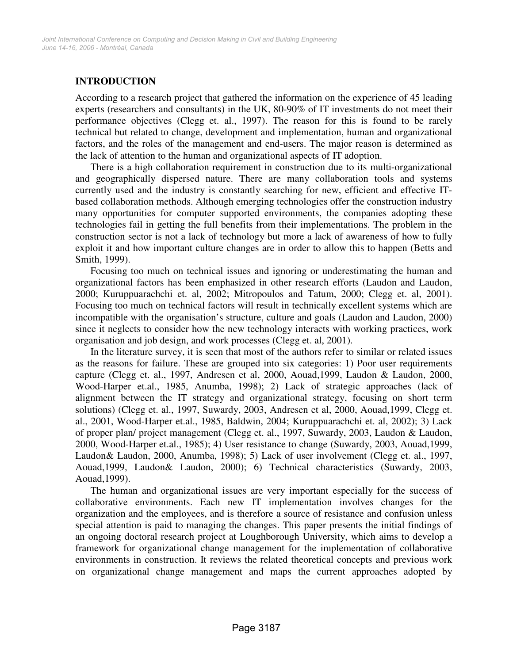# **INTRODUCTION**

According to a research project that gathered the information on the experience of 45 leading experts (researchers and consultants) in the UK, 80-90% of IT investments do not meet their performance objectives (Clegg et. al., 1997). The reason for this is found to be rarely technical but related to change, development and implementation, human and organizational factors, and the roles of the management and end-users. The major reason is determined as the lack of attention to the human and organizational aspects of IT adoption.

There is a high collaboration requirement in construction due to its multi-organizational and geographically dispersed nature. There are many collaboration tools and systems currently used and the industry is constantly searching for new, efficient and effective ITbased collaboration methods. Although emerging technologies offer the construction industry many opportunities for computer supported environments, the companies adopting these technologies fail in getting the full benefits from their implementations. The problem in the construction sector is not a lack of technology but more a lack of awareness of how to fully exploit it and how important culture changes are in order to allow this to happen (Betts and Smith, 1999).

Focusing too much on technical issues and ignoring or underestimating the human and organizational factors has been emphasized in other research efforts (Laudon and Laudon, 2000; Kuruppuarachchi et. al, 2002; Mitropoulos and Tatum, 2000; Clegg et. al, 2001). Focusing too much on technical factors will result in technically excellent systems which are incompatible with the organisation's structure, culture and goals (Laudon and Laudon, 2000) since it neglects to consider how the new technology interacts with working practices, work organisation and job design, and work processes (Clegg et. al, 2001).

In the literature survey, it is seen that most of the authors refer to similar or related issues as the reasons for failure. These are grouped into six categories: 1) Poor user requirements capture (Clegg et. al., 1997, Andresen et al, 2000, Aouad,1999, Laudon & Laudon, 2000, Wood-Harper et.al., 1985, Anumba, 1998); 2) Lack of strategic approaches (lack of alignment between the IT strategy and organizational strategy, focusing on short term solutions) (Clegg et. al., 1997, Suwardy, 2003, Andresen et al, 2000, Aouad,1999, Clegg et. al., 2001, Wood-Harper et.al., 1985, Baldwin, 2004; Kuruppuarachchi et. al, 2002); 3) Lack of proper plan/ project management (Clegg et. al., 1997, Suwardy, 2003, Laudon & Laudon, 2000, Wood-Harper et.al., 1985); 4) User resistance to change (Suwardy, 2003, Aouad,1999, Laudon& Laudon, 2000, Anumba, 1998); 5) Lack of user involvement (Clegg et. al., 1997, Aouad,1999, Laudon& Laudon, 2000); 6) Technical characteristics (Suwardy, 2003, Aouad,1999).

The human and organizational issues are very important especially for the success of collaborative environments. Each new IT implementation involves changes for the organization and the employees, and is therefore a source of resistance and confusion unless special attention is paid to managing the changes. This paper presents the initial findings of an ongoing doctoral research project at Loughborough University, which aims to develop a framework for organizational change management for the implementation of collaborative environments in construction. It reviews the related theoretical concepts and previous work on organizational change management and maps the current approaches adopted by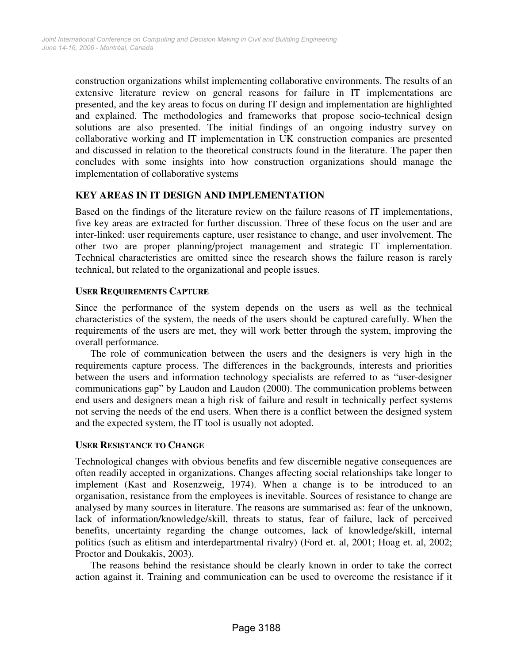construction organizations whilst implementing collaborative environments. The results of an extensive literature review on general reasons for failure in IT implementations are presented, and the key areas to focus on during IT design and implementation are highlighted and explained. The methodologies and frameworks that propose socio-technical design solutions are also presented. The initial findings of an ongoing industry survey on collaborative working and IT implementation in UK construction companies are presented and discussed in relation to the theoretical constructs found in the literature. The paper then concludes with some insights into how construction organizations should manage the implementation of collaborative systems

## **KEY AREAS IN IT DESIGN AND IMPLEMENTATION**

Based on the findings of the literature review on the failure reasons of IT implementations, five key areas are extracted for further discussion. Three of these focus on the user and are inter-linked: user requirements capture, user resistance to change, and user involvement. The other two are proper planning/project management and strategic IT implementation. Technical characteristics are omitted since the research shows the failure reason is rarely technical, but related to the organizational and people issues.

## **USER REQUIREMENTS CAPTURE**

Since the performance of the system depends on the users as well as the technical characteristics of the system, the needs of the users should be captured carefully. When the requirements of the users are met, they will work better through the system, improving the overall performance.

The role of communication between the users and the designers is very high in the requirements capture process. The differences in the backgrounds, interests and priorities between the users and information technology specialists are referred to as "user-designer communications gap" by Laudon and Laudon (2000). The communication problems between end users and designers mean a high risk of failure and result in technically perfect systems not serving the needs of the end users. When there is a conflict between the designed system and the expected system, the IT tool is usually not adopted.

## **USER RESISTANCE TO CHANGE**

Technological changes with obvious benefits and few discernible negative consequences are often readily accepted in organizations. Changes affecting social relationships take longer to implement (Kast and Rosenzweig, 1974). When a change is to be introduced to an organisation, resistance from the employees is inevitable. Sources of resistance to change are analysed by many sources in literature. The reasons are summarised as: fear of the unknown, lack of information/knowledge/skill, threats to status, fear of failure, lack of perceived benefits, uncertainty regarding the change outcomes, lack of knowledge/skill, internal politics (such as elitism and interdepartmental rivalry) (Ford et. al, 2001; Hoag et. al, 2002; Proctor and Doukakis, 2003).

The reasons behind the resistance should be clearly known in order to take the correct action against it. Training and communication can be used to overcome the resistance if it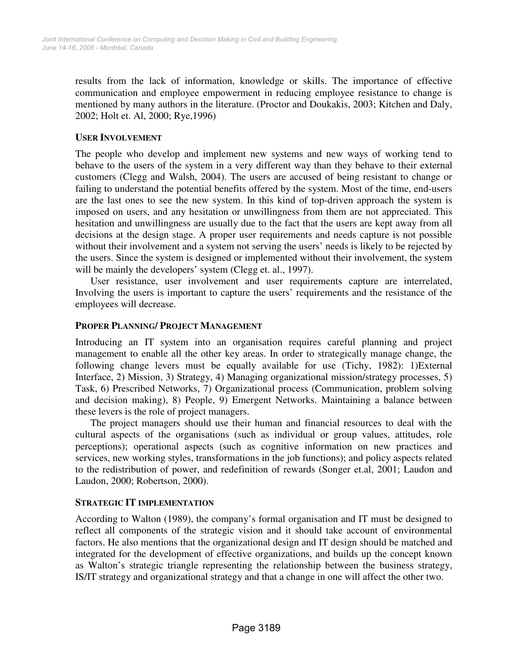results from the lack of information, knowledge or skills. The importance of effective communication and employee empowerment in reducing employee resistance to change is mentioned by many authors in the literature. (Proctor and Doukakis, 2003; Kitchen and Daly, 2002; Holt et. Al, 2000; Rye,1996)

## **USER INVOLVEMENT**

The people who develop and implement new systems and new ways of working tend to behave to the users of the system in a very different way than they behave to their external customers (Clegg and Walsh, 2004). The users are accused of being resistant to change or failing to understand the potential benefits offered by the system. Most of the time, end-users are the last ones to see the new system. In this kind of top-driven approach the system is imposed on users, and any hesitation or unwillingness from them are not appreciated. This hesitation and unwillingness are usually due to the fact that the users are kept away from all decisions at the design stage. A proper user requirements and needs capture is not possible without their involvement and a system not serving the users' needs is likely to be rejected by the users. Since the system is designed or implemented without their involvement, the system will be mainly the developers' system (Clegg et. al., 1997).

User resistance, user involvement and user requirements capture are interrelated, Involving the users is important to capture the users' requirements and the resistance of the employees will decrease.

## **PROPER PLANNING/ PROJECT MANAGEMENT**

Introducing an IT system into an organisation requires careful planning and project management to enable all the other key areas. In order to strategically manage change, the following change levers must be equally available for use (Tichy, 1982): 1)External Interface, 2) Mission, 3) Strategy, 4) Managing organizational mission/strategy processes, 5) Task, 6) Prescribed Networks, 7) Organizational process (Communication, problem solving and decision making), 8) People, 9) Emergent Networks. Maintaining a balance between these levers is the role of project managers.

The project managers should use their human and financial resources to deal with the cultural aspects of the organisations (such as individual or group values, attitudes, role perceptions); operational aspects (such as cognitive information on new practices and services, new working styles, transformations in the job functions); and policy aspects related to the redistribution of power, and redefinition of rewards (Songer et.al, 2001; Laudon and Laudon, 2000; Robertson, 2000).

## **STRATEGIC IT IMPLEMENTATION**

According to Walton (1989), the company's formal organisation and IT must be designed to reflect all components of the strategic vision and it should take account of environmental factors. He also mentions that the organizational design and IT design should be matched and integrated for the development of effective organizations, and builds up the concept known as Walton's strategic triangle representing the relationship between the business strategy, IS/IT strategy and organizational strategy and that a change in one will affect the other two.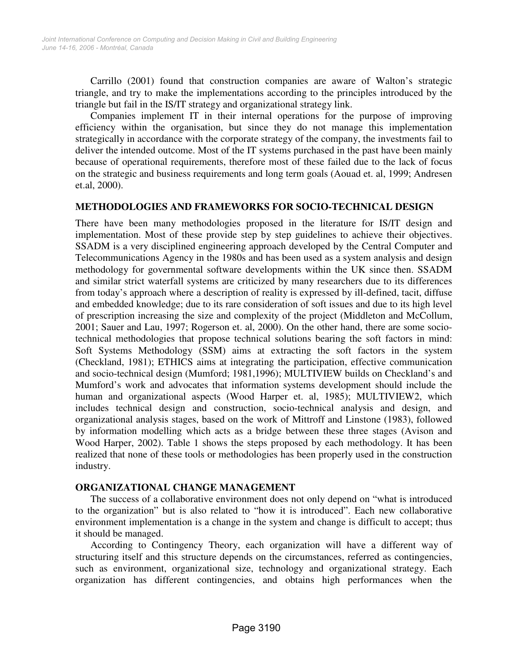Carrillo (2001) found that construction companies are aware of Walton's strategic triangle, and try to make the implementations according to the principles introduced by the triangle but fail in the IS/IT strategy and organizational strategy link.

Companies implement IT in their internal operations for the purpose of improving efficiency within the organisation, but since they do not manage this implementation strategically in accordance with the corporate strategy of the company, the investments fail to deliver the intended outcome. Most of the IT systems purchased in the past have been mainly because of operational requirements, therefore most of these failed due to the lack of focus on the strategic and business requirements and long term goals (Aouad et. al, 1999; Andresen et.al, 2000).

## **METHODOLOGIES AND FRAMEWORKS FOR SOCIO-TECHNICAL DESIGN**

There have been many methodologies proposed in the literature for IS/IT design and implementation. Most of these provide step by step guidelines to achieve their objectives. SSADM is a very disciplined engineering approach developed by the Central Computer and Telecommunications Agency in the 1980s and has been used as a system analysis and design methodology for governmental software developments within the UK since then. SSADM and similar strict waterfall systems are criticized by many researchers due to its differences from today's approach where a description of reality is expressed by ill-defined, tacit, diffuse and embedded knowledge; due to its rare consideration of soft issues and due to its high level of prescription increasing the size and complexity of the project (Middleton and McCollum, 2001; Sauer and Lau, 1997; Rogerson et. al, 2000). On the other hand, there are some sociotechnical methodologies that propose technical solutions bearing the soft factors in mind: Soft Systems Methodology (SSM) aims at extracting the soft factors in the system (Checkland, 1981); ETHICS aims at integrating the participation, effective communication and socio-technical design (Mumford; 1981,1996); MULTIVIEW builds on Checkland's and Mumford's work and advocates that information systems development should include the human and organizational aspects (Wood Harper et. al, 1985); MULTIVIEW2, which includes technical design and construction, socio-technical analysis and design, and organizational analysis stages, based on the work of Mittroff and Linstone (1983), followed by information modelling which acts as a bridge between these three stages (Avison and Wood Harper, 2002). Table 1 shows the steps proposed by each methodology. It has been realized that none of these tools or methodologies has been properly used in the construction industry.

#### **ORGANIZATIONAL CHANGE MANAGEMENT**

The success of a collaborative environment does not only depend on "what is introduced to the organization" but is also related to "how it is introduced". Each new collaborative environment implementation is a change in the system and change is difficult to accept; thus it should be managed.

According to Contingency Theory, each organization will have a different way of structuring itself and this structure depends on the circumstances, referred as contingencies, such as environment, organizational size, technology and organizational strategy. Each organization has different contingencies, and obtains high performances when the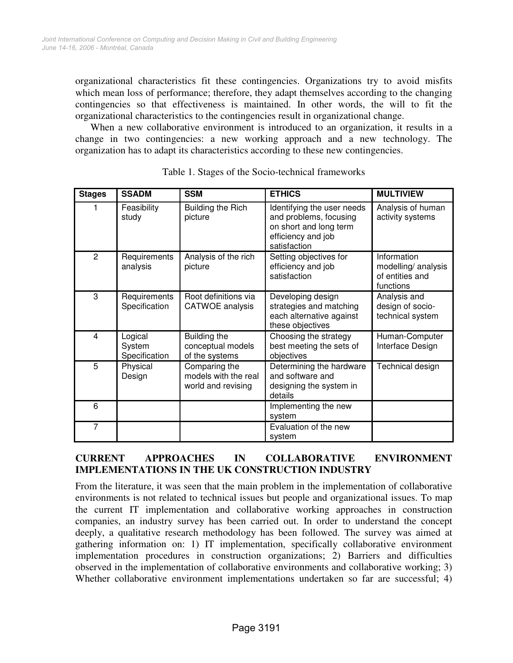organizational characteristics fit these contingencies. Organizations try to avoid misfits which mean loss of performance; therefore, they adapt themselves according to the changing contingencies so that effectiveness is maintained. In other words, the will to fit the organizational characteristics to the contingencies result in organizational change.

When a new collaborative environment is introduced to an organization, it results in a change in two contingencies: a new working approach and a new technology. The organization has to adapt its characteristics according to these new contingencies.

| <b>Stages</b>  | <b>SSADM</b>                       | <b>SSM</b>                                                  | <b>ETHICS</b>                                                                                                        | <b>MULTIVIEW</b>                                                   |
|----------------|------------------------------------|-------------------------------------------------------------|----------------------------------------------------------------------------------------------------------------------|--------------------------------------------------------------------|
|                | Feasibility<br>study               | <b>Building the Rich</b><br>picture                         | Identifying the user needs<br>and problems, focusing<br>on short and long term<br>efficiency and job<br>satisfaction | Analysis of human<br>activity systems                              |
| $\overline{2}$ | Requirements<br>analysis           | Analysis of the rich<br>picture                             | Setting objectives for<br>efficiency and job<br>satisfaction                                                         | Information<br>modelling/ analysis<br>of entities and<br>functions |
| 3              | Requirements<br>Specification      | Root definitions via<br><b>CATWOE</b> analysis              | Developing design<br>strategies and matching<br>each alternative against<br>these objectives                         | Analysis and<br>design of socio-<br>technical system               |
| 4              | Logical<br>System<br>Specification | Building the<br>conceptual models<br>of the systems         | Choosing the strategy<br>best meeting the sets of<br>objectives                                                      | Human-Computer<br>Interface Design                                 |
| 5              | Physical<br>Design                 | Comparing the<br>models with the real<br>world and revising | Determining the hardware<br>and software and<br>designing the system in<br>details                                   | Technical design                                                   |
| 6              |                                    |                                                             | Implementing the new<br>system                                                                                       |                                                                    |
| 7              |                                    |                                                             | Evaluation of the new<br>system                                                                                      |                                                                    |

# **CURRENT APPROACHES IN COLLABORATIVE ENVIRONMENT IMPLEMENTATIONS IN THE UK CONSTRUCTION INDUSTRY**

From the literature, it was seen that the main problem in the implementation of collaborative environments is not related to technical issues but people and organizational issues. To map the current IT implementation and collaborative working approaches in construction companies, an industry survey has been carried out. In order to understand the concept deeply, a qualitative research methodology has been followed. The survey was aimed at gathering information on: 1) IT implementation, specifically collaborative environment implementation procedures in construction organizations; 2) Barriers and difficulties observed in the implementation of collaborative environments and collaborative working; 3) Whether collaborative environment implementations undertaken so far are successful; 4)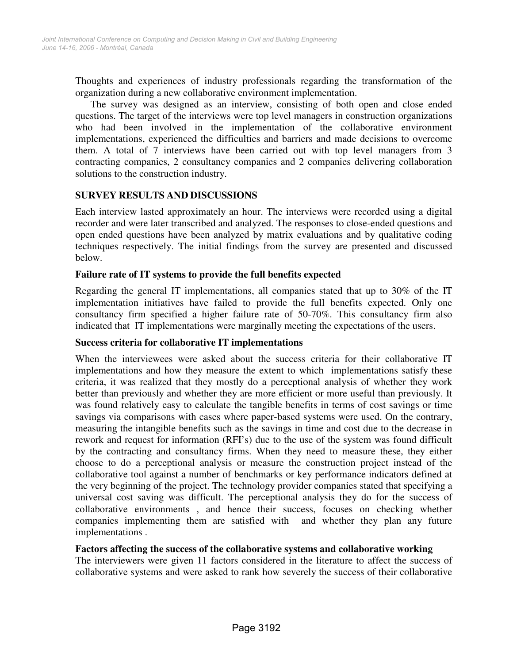Thoughts and experiences of industry professionals regarding the transformation of the organization during a new collaborative environment implementation.

The survey was designed as an interview, consisting of both open and close ended questions. The target of the interviews were top level managers in construction organizations who had been involved in the implementation of the collaborative environment implementations, experienced the difficulties and barriers and made decisions to overcome them. A total of 7 interviews have been carried out with top level managers from 3 contracting companies, 2 consultancy companies and 2 companies delivering collaboration solutions to the construction industry.

## **SURVEY RESULTS AND DISCUSSIONS**

Each interview lasted approximately an hour. The interviews were recorded using a digital recorder and were later transcribed and analyzed. The responses to close-ended questions and open ended questions have been analyzed by matrix evaluations and by qualitative coding techniques respectively. The initial findings from the survey are presented and discussed below.

## **Failure rate of IT systems to provide the full benefits expected**

Regarding the general IT implementations, all companies stated that up to 30% of the IT implementation initiatives have failed to provide the full benefits expected. Only one consultancy firm specified a higher failure rate of 50-70%. This consultancy firm also indicated that IT implementations were marginally meeting the expectations of the users.

#### **Success criteria for collaborative IT implementations**

When the interviewees were asked about the success criteria for their collaborative IT implementations and how they measure the extent to which implementations satisfy these criteria, it was realized that they mostly do a perceptional analysis of whether they work better than previously and whether they are more efficient or more useful than previously. It was found relatively easy to calculate the tangible benefits in terms of cost savings or time savings via comparisons with cases where paper-based systems were used. On the contrary, measuring the intangible benefits such as the savings in time and cost due to the decrease in rework and request for information (RFI's) due to the use of the system was found difficult by the contracting and consultancy firms. When they need to measure these, they either choose to do a perceptional analysis or measure the construction project instead of the collaborative tool against a number of benchmarks or key performance indicators defined at the very beginning of the project. The technology provider companies stated that specifying a universal cost saving was difficult. The perceptional analysis they do for the success of collaborative environments , and hence their success, focuses on checking whether companies implementing them are satisfied with and whether they plan any future implementations .

## **Factors affecting the success of the collaborative systems and collaborative working**

The interviewers were given 11 factors considered in the literature to affect the success of collaborative systems and were asked to rank how severely the success of their collaborative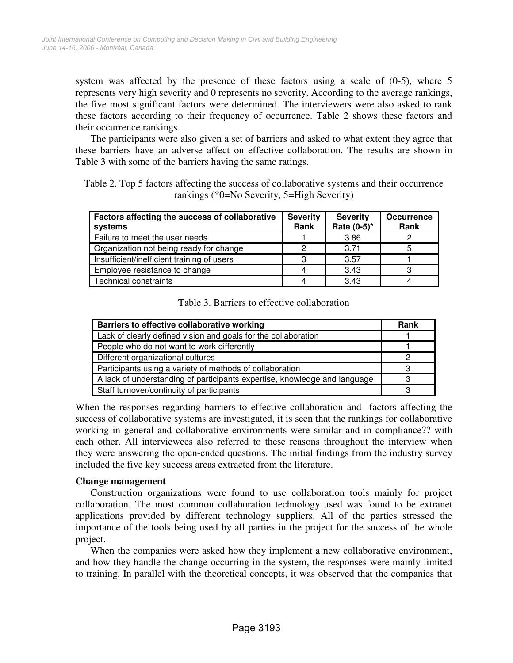system was affected by the presence of these factors using a scale of (0-5), where 5 represents very high severity and 0 represents no severity. According to the average rankings, the five most significant factors were determined. The interviewers were also asked to rank these factors according to their frequency of occurrence. Table 2 shows these factors and their occurrence rankings.

The participants were also given a set of barriers and asked to what extent they agree that these barriers have an adverse affect on effective collaboration. The results are shown in Table 3 with some of the barriers having the same ratings.

Table 2. Top 5 factors affecting the success of collaborative systems and their occurrence rankings (\*0=No Severity, 5=High Severity)

| Factors affecting the success of collaborative<br>systems | <b>Severity</b><br>Rank | <b>Severity</b><br>Rate (0-5)* | <b>Occurrence</b><br>Rank |
|-----------------------------------------------------------|-------------------------|--------------------------------|---------------------------|
| Failure to meet the user needs                            |                         | 3.86                           |                           |
| Organization not being ready for change                   | 2                       | 3.71                           |                           |
| Insufficient/inefficient training of users                | З                       | 3.57                           |                           |
| Employee resistance to change                             |                         | 3.43                           | З                         |
| Technical constraints                                     |                         | 3.43                           |                           |

#### Table 3. Barriers to effective collaboration

| Barriers to effective collaborative working                               | Rank |
|---------------------------------------------------------------------------|------|
| Lack of clearly defined vision and goals for the collaboration            |      |
| People who do not want to work differently                                |      |
| Different organizational cultures                                         |      |
| Participants using a variety of methods of collaboration                  |      |
| A lack of understanding of participants expertise, knowledge and language |      |
| Staff turnover/continuity of participants                                 |      |

When the responses regarding barriers to effective collaboration and factors affecting the success of collaborative systems are investigated, it is seen that the rankings for collaborative working in general and collaborative environments were similar and in compliance?? with each other. All interviewees also referred to these reasons throughout the interview when they were answering the open-ended questions. The initial findings from the industry survey included the five key success areas extracted from the literature.

#### **Change management**

Construction organizations were found to use collaboration tools mainly for project collaboration. The most common collaboration technology used was found to be extranet applications provided by different technology suppliers. All of the parties stressed the importance of the tools being used by all parties in the project for the success of the whole project.

When the companies were asked how they implement a new collaborative environment, and how they handle the change occurring in the system, the responses were mainly limited to training. In parallel with the theoretical concepts, it was observed that the companies that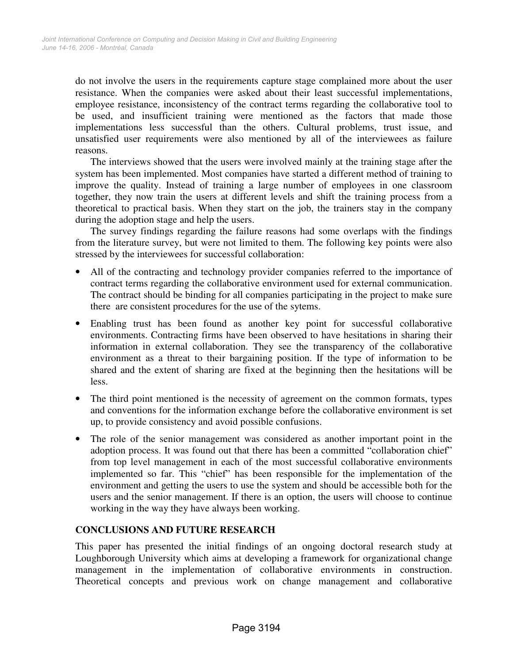do not involve the users in the requirements capture stage complained more about the user resistance. When the companies were asked about their least successful implementations, employee resistance, inconsistency of the contract terms regarding the collaborative tool to be used, and insufficient training were mentioned as the factors that made those implementations less successful than the others. Cultural problems, trust issue, and unsatisfied user requirements were also mentioned by all of the interviewees as failure reasons.

The interviews showed that the users were involved mainly at the training stage after the system has been implemented. Most companies have started a different method of training to improve the quality. Instead of training a large number of employees in one classroom together, they now train the users at different levels and shift the training process from a theoretical to practical basis. When they start on the job, the trainers stay in the company during the adoption stage and help the users.

The survey findings regarding the failure reasons had some overlaps with the findings from the literature survey, but were not limited to them. The following key points were also stressed by the interviewees for successful collaboration:

- All of the contracting and technology provider companies referred to the importance of contract terms regarding the collaborative environment used for external communication. The contract should be binding for all companies participating in the project to make sure there are consistent procedures for the use of the sytems.
- Enabling trust has been found as another key point for successful collaborative environments. Contracting firms have been observed to have hesitations in sharing their information in external collaboration. They see the transparency of the collaborative environment as a threat to their bargaining position. If the type of information to be shared and the extent of sharing are fixed at the beginning then the hesitations will be less.
- The third point mentioned is the necessity of agreement on the common formats, types and conventions for the information exchange before the collaborative environment is set up, to provide consistency and avoid possible confusions.
- The role of the senior management was considered as another important point in the adoption process. It was found out that there has been a committed "collaboration chief" from top level management in each of the most successful collaborative environments implemented so far. This "chief" has been responsible for the implementation of the environment and getting the users to use the system and should be accessible both for the users and the senior management. If there is an option, the users will choose to continue working in the way they have always been working.

## **CONCLUSIONS AND FUTURE RESEARCH**

This paper has presented the initial findings of an ongoing doctoral research study at Loughborough University which aims at developing a framework for organizational change management in the implementation of collaborative environments in construction. Theoretical concepts and previous work on change management and collaborative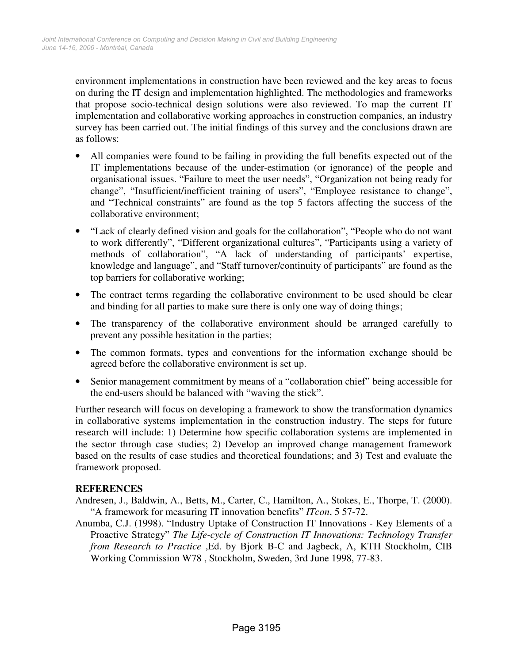environment implementations in construction have been reviewed and the key areas to focus on during the IT design and implementation highlighted. The methodologies and frameworks that propose socio-technical design solutions were also reviewed. To map the current IT implementation and collaborative working approaches in construction companies, an industry survey has been carried out. The initial findings of this survey and the conclusions drawn are as follows:

- All companies were found to be failing in providing the full benefits expected out of the IT implementations because of the under-estimation (or ignorance) of the people and organisational issues. "Failure to meet the user needs", "Organization not being ready for change", "Insufficient/inefficient training of users", "Employee resistance to change", and "Technical constraints" are found as the top 5 factors affecting the success of the collaborative environment;
- "Lack of clearly defined vision and goals for the collaboration", "People who do not want to work differently", "Different organizational cultures", "Participants using a variety of methods of collaboration", "A lack of understanding of participants' expertise, knowledge and language", and "Staff turnover/continuity of participants" are found as the top barriers for collaborative working;
- The contract terms regarding the collaborative environment to be used should be clear and binding for all parties to make sure there is only one way of doing things;
- The transparency of the collaborative environment should be arranged carefully to prevent any possible hesitation in the parties;
- The common formats, types and conventions for the information exchange should be agreed before the collaborative environment is set up.
- Senior management commitment by means of a "collaboration chief" being accessible for the end-users should be balanced with "waving the stick".

Further research will focus on developing a framework to show the transformation dynamics in collaborative systems implementation in the construction industry. The steps for future research will include: 1) Determine how specific collaboration systems are implemented in the sector through case studies; 2) Develop an improved change management framework based on the results of case studies and theoretical foundations; and 3) Test and evaluate the framework proposed.

#### **REFERENCES**

- Andresen, J., Baldwin, A., Betts, M., Carter, C., Hamilton, A., Stokes, E., Thorpe, T. (2000). "A framework for measuring IT innovation benefits" *ITcon*, 5 57-72.
- Anumba, C.J. (1998). "Industry Uptake of Construction IT Innovations Key Elements of a Proactive Strategy" *The Life-cycle of Construction IT Innovations: Technology Transfer from Research to Practice* ,Ed. by Bjork B-C and Jagbeck, A, KTH Stockholm, CIB Working Commission W78 , Stockholm, Sweden, 3rd June 1998, 77-83.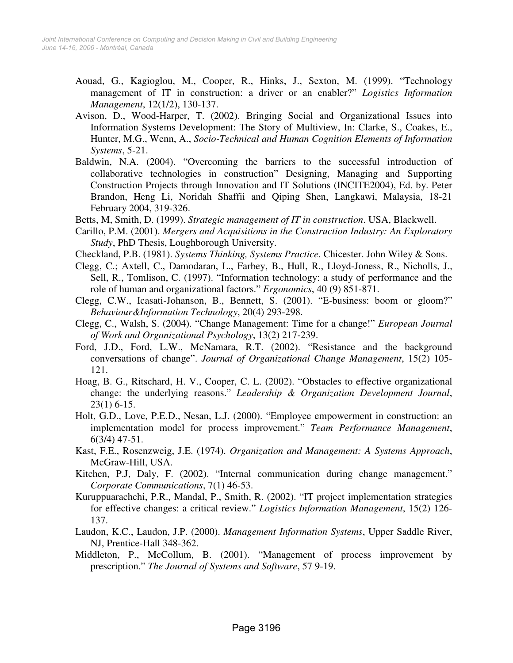- Aouad, G., Kagioglou, M., Cooper, R., Hinks, J., Sexton, M. (1999). "Technology management of IT in construction: a driver or an enabler?" *Logistics Information Management*, 12(1/2), 130-137.
- Avison, D., Wood-Harper, T. (2002). Bringing Social and Organizational Issues into Information Systems Development: The Story of Multiview, In: Clarke, S., Coakes, E., Hunter, M.G., Wenn, A., *Socio-Technical and Human Cognition Elements of Information Systems*, 5-21.
- Baldwin, N.A. (2004). "Overcoming the barriers to the successful introduction of collaborative technologies in construction" Designing, Managing and Supporting Construction Projects through Innovation and IT Solutions (INCITE2004), Ed. by. Peter Brandon, Heng Li, Noridah Shaffii and Qiping Shen, Langkawi, Malaysia, 18-21 February 2004, 319-326.
- Betts, M, Smith, D. (1999). *Strategic management of IT in construction*. USA, Blackwell.
- Carillo, P.M. (2001). *Mergers and Acquisitions in the Construction Industry: An Exploratory Study*, PhD Thesis, Loughborough University.
- Checkland, P.B. (1981). *Systems Thinking, Systems Practice*. Chicester. John Wiley & Sons.
- Clegg, C.; Axtell, C., Damodaran, L., Farbey, B., Hull, R., Lloyd-Joness, R., Nicholls, J., Sell, R., Tomlison, C. (1997). "Information technology: a study of performance and the role of human and organizational factors." *Ergonomics*, 40 (9) 851-871.
- Clegg, C.W., Icasati-Johanson, B., Bennett, S. (2001). "E-business: boom or gloom?" *Behaviour&Information Technology*, 20(4) 293-298.
- Clegg, C., Walsh, S. (2004). "Change Management: Time for a change!" *European Journal of Work and Organizational Psychology*, 13(2) 217-239.
- Ford, J.D., Ford, L.W., McNamara, R.T. (2002). "Resistance and the background conversations of change". *Journal of Organizational Change Management*, 15(2) 105- 121.
- Hoag, B. G., Ritschard, H. V., Cooper, C. L. (2002). "Obstacles to effective organizational change: the underlying reasons." *Leadership & Organization Development Journal*, 23(1) 6-15.
- Holt, G.D., Love, P.E.D., Nesan, L.J. (2000). "Employee empowerment in construction: an implementation model for process improvement." *Team Performance Management*, 6(3/4) 47-51.
- Kast, F.E., Rosenzweig, J.E. (1974). *Organization and Management: A Systems Approach*, McGraw-Hill, USA.
- Kitchen, P.J, Daly, F. (2002). "Internal communication during change management." *Corporate Communications*, 7(1) 46-53.
- Kuruppuarachchi, P.R., Mandal, P., Smith, R. (2002). "IT project implementation strategies for effective changes: a critical review." *Logistics Information Management*, 15(2) 126- 137.
- Laudon, K.C., Laudon, J.P. (2000). *Management Information Systems*, Upper Saddle River, NJ, Prentice-Hall 348-362.
- Middleton, P., McCollum, B. (2001). "Management of process improvement by prescription." *The Journal of Systems and Software*, 57 9-19.